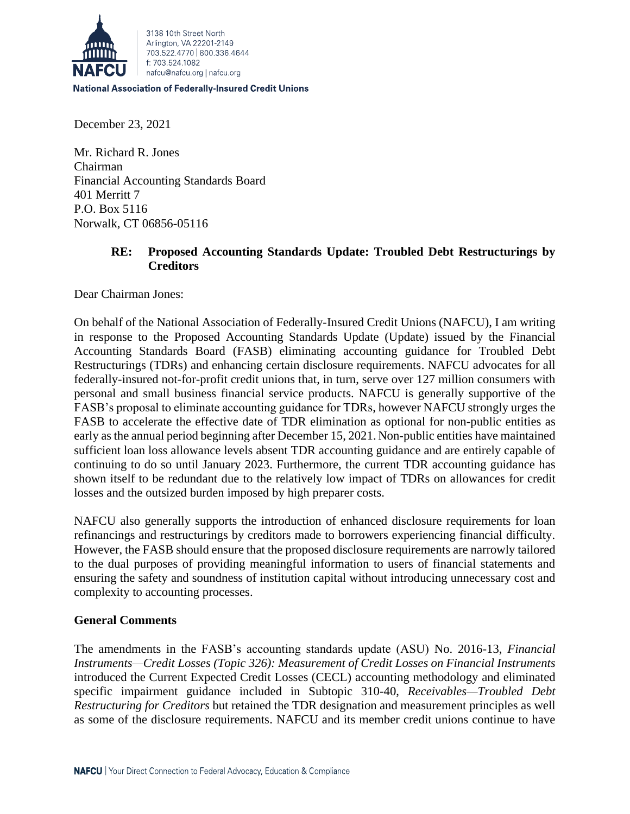

#### **National Association of Federally-Insured Credit Unions**

December 23, 2021

Mr. Richard R. Jones Chairman Financial Accounting Standards Board 401 Merritt 7 P.O. Box 5116 Norwalk, CT 06856-05116

## **RE: Proposed Accounting Standards Update: Troubled Debt Restructurings by Creditors**

Dear Chairman Jones:

On behalf of the National Association of Federally-Insured Credit Unions (NAFCU), I am writing in response to the Proposed Accounting Standards Update (Update) issued by the Financial Accounting Standards Board (FASB) eliminating accounting guidance for Troubled Debt Restructurings (TDRs) and enhancing certain disclosure requirements. NAFCU advocates for all federally-insured not-for-profit credit unions that, in turn, serve over 127 million consumers with personal and small business financial service products. NAFCU is generally supportive of the FASB's proposal to eliminate accounting guidance for TDRs, however NAFCU strongly urges the FASB to accelerate the effective date of TDR elimination as optional for non-public entities as early as the annual period beginning after December 15, 2021. Non-public entities have maintained sufficient loan loss allowance levels absent TDR accounting guidance and are entirely capable of continuing to do so until January 2023. Furthermore, the current TDR accounting guidance has shown itself to be redundant due to the relatively low impact of TDRs on allowances for credit losses and the outsized burden imposed by high preparer costs.

NAFCU also generally supports the introduction of enhanced disclosure requirements for loan refinancings and restructurings by creditors made to borrowers experiencing financial difficulty. However, the FASB should ensure that the proposed disclosure requirements are narrowly tailored to the dual purposes of providing meaningful information to users of financial statements and ensuring the safety and soundness of institution capital without introducing unnecessary cost and complexity to accounting processes.

#### **General Comments**

The amendments in the FASB's accounting standards update (ASU) No. 2016-13, *Financial Instruments—Credit Losses (Topic 326): Measurement of Credit Losses on Financial Instruments* introduced the Current Expected Credit Losses (CECL) accounting methodology and eliminated specific impairment guidance included in Subtopic 310-40, *Receivables—Troubled Debt Restructuring for Creditors* but retained the TDR designation and measurement principles as well as some of the disclosure requirements. NAFCU and its member credit unions continue to have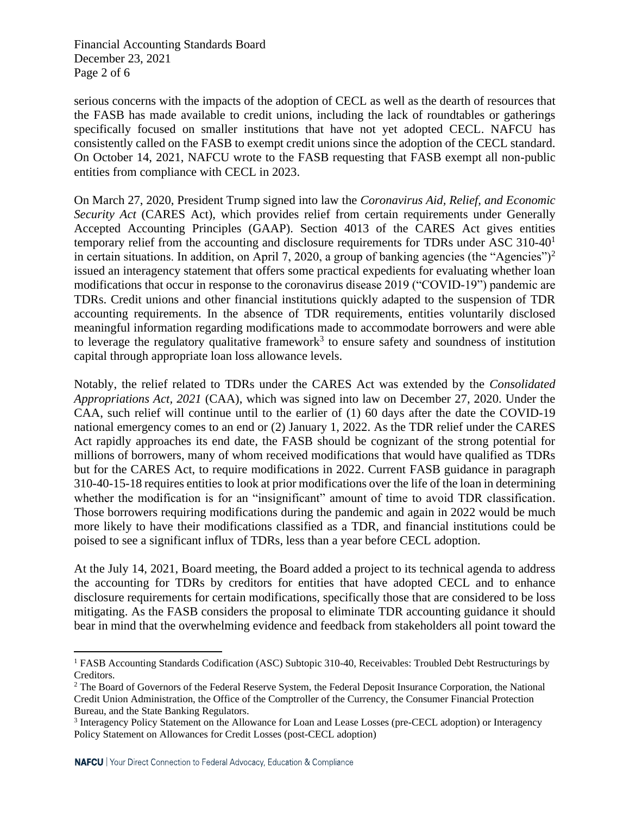Financial Accounting Standards Board December 23, 2021 Page 2 of 6

serious concerns with the impacts of the adoption of CECL as well as the dearth of resources that the FASB has made available to credit unions, including the lack of roundtables or gatherings specifically focused on smaller institutions that have not yet adopted CECL. NAFCU has consistently called on the FASB to exempt credit unions since the adoption of the CECL standard. On October 14, 2021, NAFCU wrote to the FASB requesting that FASB exempt all non-public entities from compliance with CECL in 2023.

On March 27, 2020, President Trump signed into law the *Coronavirus Aid, Relief, and Economic Security Act* (CARES Act), which provides relief from certain requirements under Generally Accepted Accounting Principles (GAAP). Section 4013 of the CARES Act gives entities temporary relief from the accounting and disclosure requirements for TDRs under ASC 310-40<sup>1</sup> in certain situations. In addition, on April 7, 2020, a group of banking agencies (the "Agencies")<sup>2</sup> issued an interagency statement that offers some practical expedients for evaluating whether loan modifications that occur in response to the coronavirus disease 2019 ("COVID-19") pandemic are TDRs. Credit unions and other financial institutions quickly adapted to the suspension of TDR accounting requirements. In the absence of TDR requirements, entities voluntarily disclosed meaningful information regarding modifications made to accommodate borrowers and were able to leverage the regulatory qualitative framework<sup>3</sup> to ensure safety and soundness of institution capital through appropriate loan loss allowance levels.

Notably, the relief related to TDRs under the CARES Act was extended by the *Consolidated Appropriations Act, 2021* (CAA), which was signed into law on December 27, 2020. Under the CAA, such relief will continue until to the earlier of (1) 60 days after the date the COVID-19 national emergency comes to an end or (2) January 1, 2022. As the TDR relief under the CARES Act rapidly approaches its end date, the FASB should be cognizant of the strong potential for millions of borrowers, many of whom received modifications that would have qualified as TDRs but for the CARES Act, to require modifications in 2022. Current FASB guidance in paragraph 310-40-15-18 requires entities to look at prior modifications over the life of the loan in determining whether the modification is for an "insignificant" amount of time to avoid TDR classification. Those borrowers requiring modifications during the pandemic and again in 2022 would be much more likely to have their modifications classified as a TDR, and financial institutions could be poised to see a significant influx of TDRs, less than a year before CECL adoption.

At the July 14, 2021, Board meeting, the Board added a project to its technical agenda to address the accounting for TDRs by creditors for entities that have adopted CECL and to enhance disclosure requirements for certain modifications, specifically those that are considered to be loss mitigating. As the FASB considers the proposal to eliminate TDR accounting guidance it should bear in mind that the overwhelming evidence and feedback from stakeholders all point toward the

<sup>1</sup> FASB Accounting Standards Codification (ASC) Subtopic 310-40, Receivables: Troubled Debt Restructurings by Creditors.

<sup>&</sup>lt;sup>2</sup> The Board of Governors of the Federal Reserve System, the Federal Deposit Insurance Corporation, the National Credit Union Administration, the Office of the Comptroller of the Currency, the Consumer Financial Protection Bureau, and the State Banking Regulators.

<sup>&</sup>lt;sup>3</sup> Interagency Policy Statement on the Allowance for Loan and Lease Losses (pre-CECL adoption) or Interagency Policy Statement on Allowances for Credit Losses (post-CECL adoption)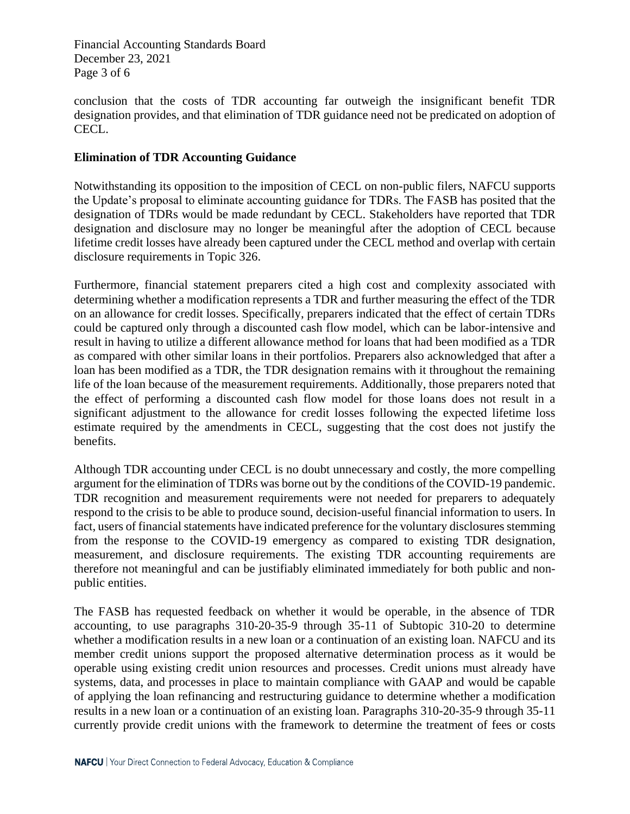Financial Accounting Standards Board December 23, 2021 Page 3 of 6

conclusion that the costs of TDR accounting far outweigh the insignificant benefit TDR designation provides, and that elimination of TDR guidance need not be predicated on adoption of CECL.

# **Elimination of TDR Accounting Guidance**

Notwithstanding its opposition to the imposition of CECL on non-public filers, NAFCU supports the Update's proposal to eliminate accounting guidance for TDRs. The FASB has posited that the designation of TDRs would be made redundant by CECL. Stakeholders have reported that TDR designation and disclosure may no longer be meaningful after the adoption of CECL because lifetime credit losses have already been captured under the CECL method and overlap with certain disclosure requirements in Topic 326.

Furthermore, financial statement preparers cited a high cost and complexity associated with determining whether a modification represents a TDR and further measuring the effect of the TDR on an allowance for credit losses. Specifically, preparers indicated that the effect of certain TDRs could be captured only through a discounted cash flow model, which can be labor-intensive and result in having to utilize a different allowance method for loans that had been modified as a TDR as compared with other similar loans in their portfolios. Preparers also acknowledged that after a loan has been modified as a TDR, the TDR designation remains with it throughout the remaining life of the loan because of the measurement requirements. Additionally, those preparers noted that the effect of performing a discounted cash flow model for those loans does not result in a significant adjustment to the allowance for credit losses following the expected lifetime loss estimate required by the amendments in CECL, suggesting that the cost does not justify the benefits.

Although TDR accounting under CECL is no doubt unnecessary and costly, the more compelling argument for the elimination of TDRs was borne out by the conditions of the COVID-19 pandemic. TDR recognition and measurement requirements were not needed for preparers to adequately respond to the crisis to be able to produce sound, decision-useful financial information to users. In fact, users of financial statements have indicated preference for the voluntary disclosures stemming from the response to the COVID-19 emergency as compared to existing TDR designation, measurement, and disclosure requirements. The existing TDR accounting requirements are therefore not meaningful and can be justifiably eliminated immediately for both public and nonpublic entities.

The FASB has requested feedback on whether it would be operable, in the absence of TDR accounting, to use paragraphs 310-20-35-9 through 35-11 of Subtopic 310-20 to determine whether a modification results in a new loan or a continuation of an existing loan. NAFCU and its member credit unions support the proposed alternative determination process as it would be operable using existing credit union resources and processes. Credit unions must already have systems, data, and processes in place to maintain compliance with GAAP and would be capable of applying the loan refinancing and restructuring guidance to determine whether a modification results in a new loan or a continuation of an existing loan. Paragraphs 310-20-35-9 through 35-11 currently provide credit unions with the framework to determine the treatment of fees or costs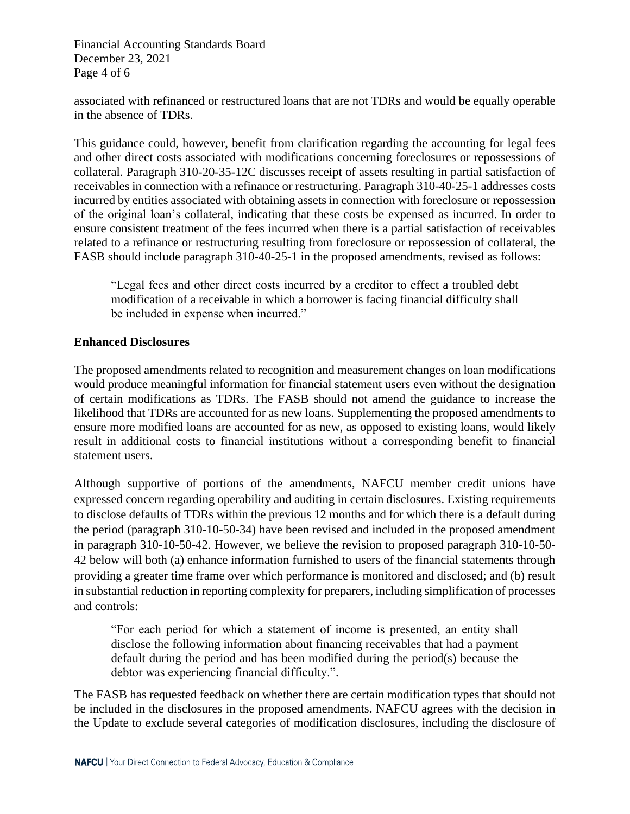Financial Accounting Standards Board December 23, 2021 Page 4 of 6

associated with refinanced or restructured loans that are not TDRs and would be equally operable in the absence of TDRs.

This guidance could, however, benefit from clarification regarding the accounting for legal fees and other direct costs associated with modifications concerning foreclosures or repossessions of collateral. Paragraph 310-20-35-12C discusses receipt of assets resulting in partial satisfaction of receivables in connection with a refinance or restructuring. Paragraph 310-40-25-1 addresses costs incurred by entities associated with obtaining assets in connection with foreclosure or repossession of the original loan's collateral, indicating that these costs be expensed as incurred. In order to ensure consistent treatment of the fees incurred when there is a partial satisfaction of receivables related to a refinance or restructuring resulting from foreclosure or repossession of collateral, the FASB should include paragraph 310-40-25-1 in the proposed amendments, revised as follows:

"Legal fees and other direct costs incurred by a creditor to effect a troubled debt modification of a receivable in which a borrower is facing financial difficulty shall be included in expense when incurred."

### **Enhanced Disclosures**

The proposed amendments related to recognition and measurement changes on loan modifications would produce meaningful information for financial statement users even without the designation of certain modifications as TDRs. The FASB should not amend the guidance to increase the likelihood that TDRs are accounted for as new loans. Supplementing the proposed amendments to ensure more modified loans are accounted for as new, as opposed to existing loans, would likely result in additional costs to financial institutions without a corresponding benefit to financial statement users.

Although supportive of portions of the amendments, NAFCU member credit unions have expressed concern regarding operability and auditing in certain disclosures. Existing requirements to disclose defaults of TDRs within the previous 12 months and for which there is a default during the period (paragraph 310-10-50-34) have been revised and included in the proposed amendment in paragraph 310-10-50-42. However, we believe the revision to proposed paragraph 310-10-50- 42 below will both (a) enhance information furnished to users of the financial statements through providing a greater time frame over which performance is monitored and disclosed; and (b) result in substantial reduction in reporting complexity for preparers, including simplification of processes and controls:

"For each period for which a statement of income is presented, an entity shall disclose the following information about financing receivables that had a payment default during the period and has been modified during the period(s) because the debtor was experiencing financial difficulty.".

The FASB has requested feedback on whether there are certain modification types that should not be included in the disclosures in the proposed amendments. NAFCU agrees with the decision in the Update to exclude several categories of modification disclosures, including the disclosure of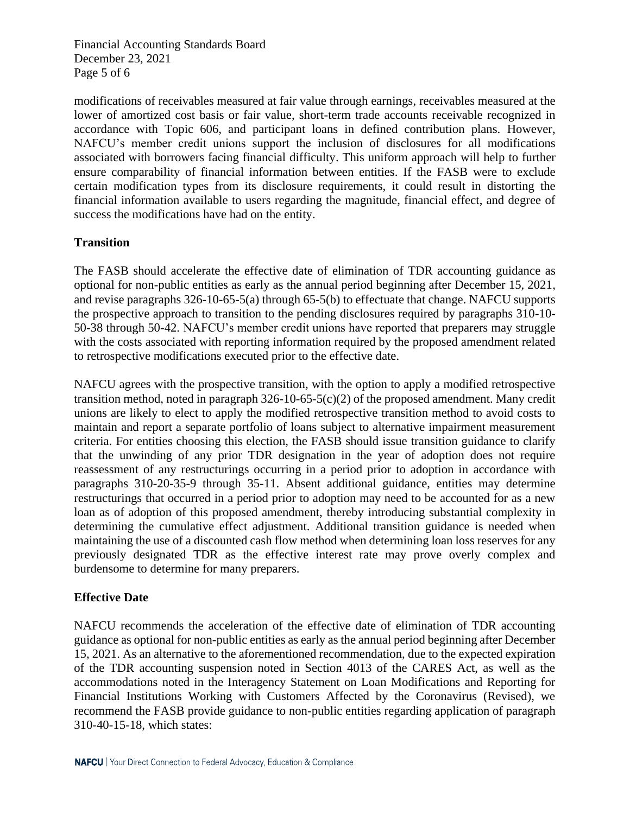Financial Accounting Standards Board December 23, 2021 Page 5 of 6

modifications of receivables measured at fair value through earnings, receivables measured at the lower of amortized cost basis or fair value, short-term trade accounts receivable recognized in accordance with Topic 606, and participant loans in defined contribution plans. However, NAFCU's member credit unions support the inclusion of disclosures for all modifications associated with borrowers facing financial difficulty. This uniform approach will help to further ensure comparability of financial information between entities. If the FASB were to exclude certain modification types from its disclosure requirements, it could result in distorting the financial information available to users regarding the magnitude, financial effect, and degree of success the modifications have had on the entity.

# **Transition**

The FASB should accelerate the effective date of elimination of TDR accounting guidance as optional for non-public entities as early as the annual period beginning after December 15, 2021, and revise paragraphs 326-10-65-5(a) through 65-5(b) to effectuate that change. NAFCU supports the prospective approach to transition to the pending disclosures required by paragraphs 310-10- 50-38 through 50-42. NAFCU's member credit unions have reported that preparers may struggle with the costs associated with reporting information required by the proposed amendment related to retrospective modifications executed prior to the effective date.

NAFCU agrees with the prospective transition, with the option to apply a modified retrospective transition method, noted in paragraph 326-10-65-5(c)(2) of the proposed amendment. Many credit unions are likely to elect to apply the modified retrospective transition method to avoid costs to maintain and report a separate portfolio of loans subject to alternative impairment measurement criteria. For entities choosing this election, the FASB should issue transition guidance to clarify that the unwinding of any prior TDR designation in the year of adoption does not require reassessment of any restructurings occurring in a period prior to adoption in accordance with paragraphs 310-20-35-9 through 35-11. Absent additional guidance, entities may determine restructurings that occurred in a period prior to adoption may need to be accounted for as a new loan as of adoption of this proposed amendment, thereby introducing substantial complexity in determining the cumulative effect adjustment. Additional transition guidance is needed when maintaining the use of a discounted cash flow method when determining loan loss reserves for any previously designated TDR as the effective interest rate may prove overly complex and burdensome to determine for many preparers.

# **Effective Date**

NAFCU recommends the acceleration of the effective date of elimination of TDR accounting guidance as optional for non-public entities as early as the annual period beginning after December 15, 2021. As an alternative to the aforementioned recommendation, due to the expected expiration of the TDR accounting suspension noted in Section 4013 of the CARES Act, as well as the accommodations noted in the Interagency Statement on Loan Modifications and Reporting for Financial Institutions Working with Customers Affected by the Coronavirus (Revised), we recommend the FASB provide guidance to non-public entities regarding application of paragraph 310-40-15-18, which states: